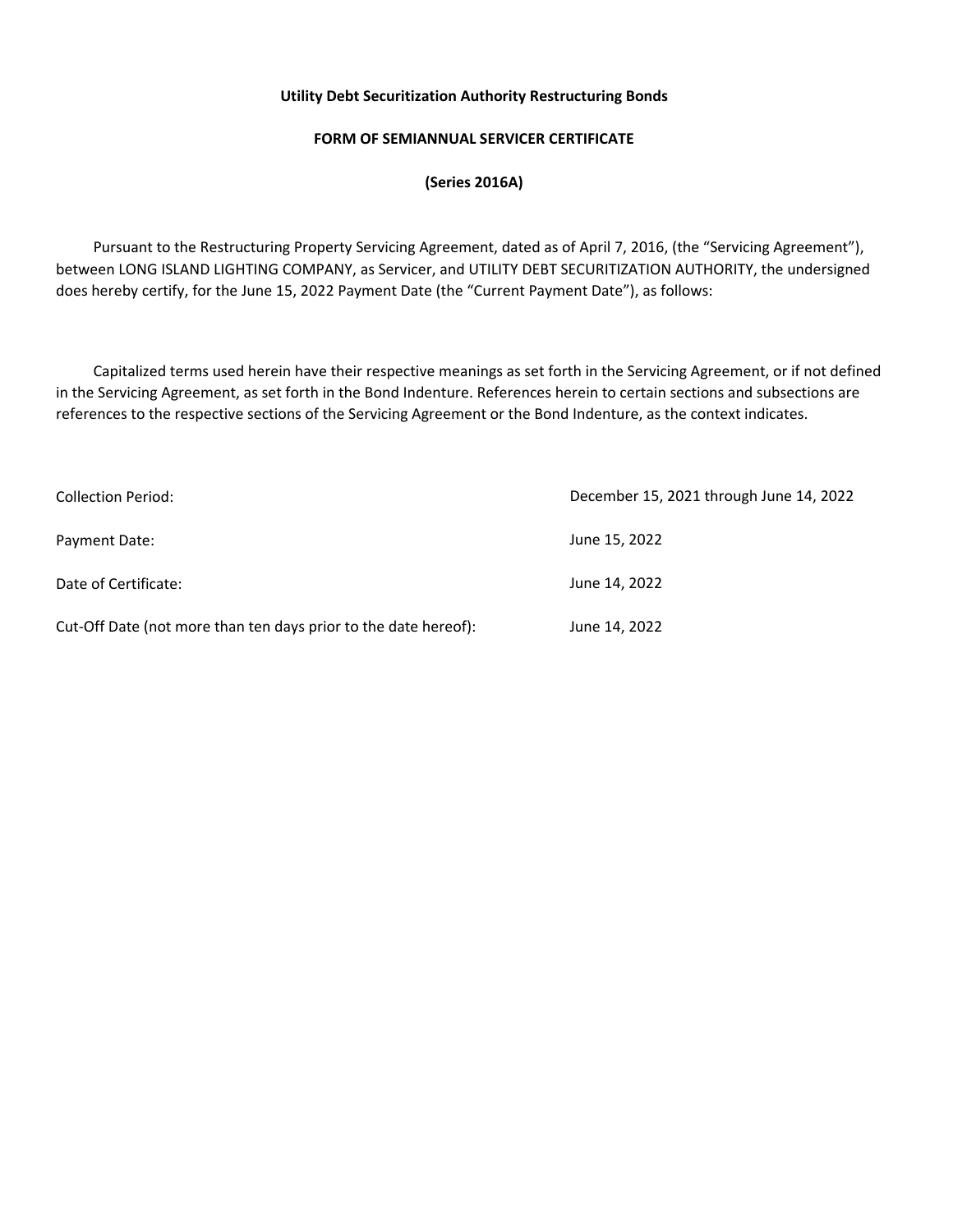# **FORM OF SEMIANNUAL SERVICER CERTIFICATE**

# **(Series 2016A)**

 Pursuant to the Restructuring Property Servicing Agreement, dated as of April 7, 2016, (the "Servicing Agreement"), between LONG ISLAND LIGHTING COMPANY, as Servicer, and UTILITY DEBT SECURITIZATION AUTHORITY, the undersigned does hereby certify, for the June 15, 2022 Payment Date (the "Current Payment Date"), as follows:

 Capitalized terms used herein have their respective meanings as set forth in the Servicing Agreement, or if not defined in the Servicing Agreement, as set forth in the Bond Indenture. References herein to certain sections and subsections are references to the respective sections of the Servicing Agreement or the Bond Indenture, as the context indicates.

| <b>Collection Period:</b>                                       | December 15, 2021 through June 14, 2022 |  |  |
|-----------------------------------------------------------------|-----------------------------------------|--|--|
| Payment Date:                                                   | June 15, 2022                           |  |  |
| Date of Certificate:                                            | June 14, 2022                           |  |  |
| Cut-Off Date (not more than ten days prior to the date hereof): | June 14, 2022                           |  |  |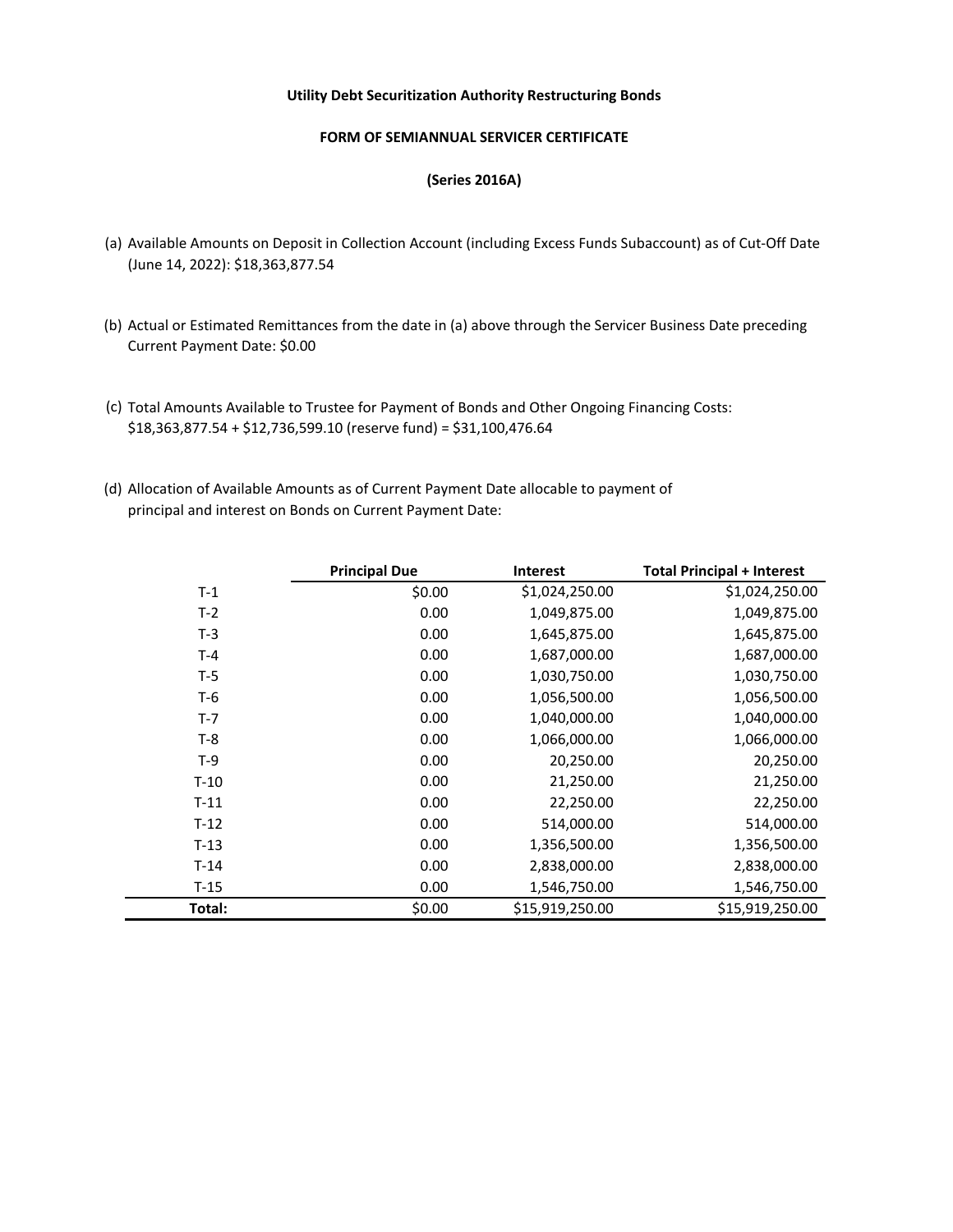#### **FORM OF SEMIANNUAL SERVICER CERTIFICATE**

#### **(Series 2016A)**

- (a) Available Amounts on Deposit in Collection Account (including Excess Funds Subaccount) as of Cut-Off Date (June 14, 2022): \$18,363,877.54
- (b) Actual or Estimated Remittances from the date in (a) above through the Servicer Business Date preceding Current Payment Date: \$0.00
- (c) Total Amounts Available to Trustee for Payment of Bonds and Other Ongoing Financing Costs: \$18,363,877.54 + \$12,736,599.10 (reserve fund) = \$31,100,476.64
- (d) Allocation of Available Amounts as of Current Payment Date allocable to payment of principal and interest on Bonds on Current Payment Date:

|        | <b>Principal Due</b> | <b>Interest</b> | <b>Total Principal + Interest</b> |
|--------|----------------------|-----------------|-----------------------------------|
| $T-1$  | \$0.00               | \$1,024,250.00  | \$1,024,250.00                    |
| $T-2$  | 0.00                 | 1,049,875.00    | 1,049,875.00                      |
| $T-3$  | 0.00                 | 1,645,875.00    | 1,645,875.00                      |
| $T-4$  | 0.00                 | 1,687,000.00    | 1,687,000.00                      |
| $T-5$  | 0.00                 | 1,030,750.00    | 1,030,750.00                      |
| T-6    | 0.00                 | 1,056,500.00    | 1,056,500.00                      |
| $T-7$  | 0.00                 | 1,040,000.00    | 1,040,000.00                      |
| $T-8$  | 0.00                 | 1,066,000.00    | 1,066,000.00                      |
| $T-9$  | 0.00                 | 20,250.00       | 20,250.00                         |
| $T-10$ | 0.00                 | 21,250.00       | 21,250.00                         |
| $T-11$ | 0.00                 | 22,250.00       | 22,250.00                         |
| $T-12$ | 0.00                 | 514,000.00      | 514,000.00                        |
| $T-13$ | 0.00                 | 1,356,500.00    | 1,356,500.00                      |
| $T-14$ | 0.00                 | 2,838,000.00    | 2,838,000.00                      |
| $T-15$ | 0.00                 | 1,546,750.00    | 1,546,750.00                      |
| Total: | \$0.00               | \$15,919,250.00 | \$15,919,250.00                   |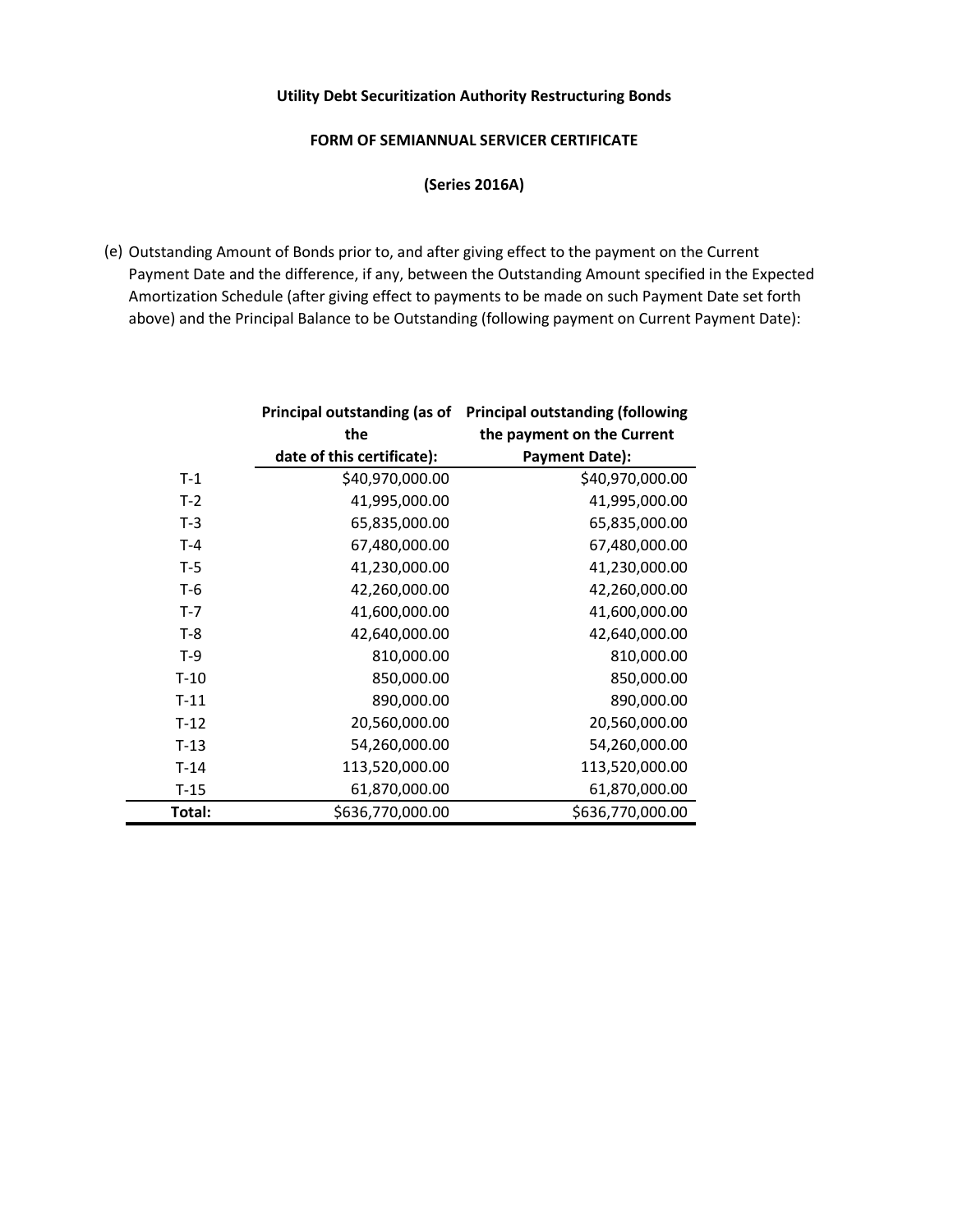# **FORM OF SEMIANNUAL SERVICER CERTIFICATE**

**(Series 2016A)** 

(e) Outstanding Amount of Bonds prior to, and after giving effect to the payment on the Current Payment Date and the difference, if any, between the Outstanding Amount specified in the Expected Amortization Schedule (after giving effect to payments to be made on such Payment Date set forth above) and the Principal Balance to be Outstanding (following payment on Current Payment Date):

|         | Principal outstanding (as of      | <b>Principal outstanding (following</b> |  |
|---------|-----------------------------------|-----------------------------------------|--|
|         | the<br>the payment on the Current |                                         |  |
|         | date of this certificate):        | <b>Payment Date):</b>                   |  |
| $T-1$   | \$40,970,000.00                   | \$40,970,000.00                         |  |
| $T-2$   | 41,995,000.00                     | 41,995,000.00                           |  |
| $T-3$   | 65,835,000.00                     | 65,835,000.00                           |  |
| $T-4$   | 67,480,000.00                     | 67,480,000.00                           |  |
| $T-5$   | 41,230,000.00                     | 41,230,000.00                           |  |
| $T-6$   | 42,260,000.00                     | 42,260,000.00                           |  |
| $T - 7$ | 41,600,000.00                     | 41,600,000.00                           |  |
| $T-8$   | 42,640,000.00                     | 42,640,000.00                           |  |
| $T-9$   | 810,000.00                        | 810,000.00                              |  |
| $T-10$  | 850,000.00                        | 850,000.00                              |  |
| $T-11$  | 890,000.00                        | 890,000.00                              |  |
| $T-12$  | 20,560,000.00                     | 20,560,000.00                           |  |
| $T-13$  | 54,260,000.00                     | 54,260,000.00                           |  |
| $T-14$  | 113,520,000.00                    | 113,520,000.00                          |  |
| $T-15$  | 61,870,000.00                     | 61,870,000.00                           |  |
| Total:  | \$636,770,000.00                  | \$636,770,000.00                        |  |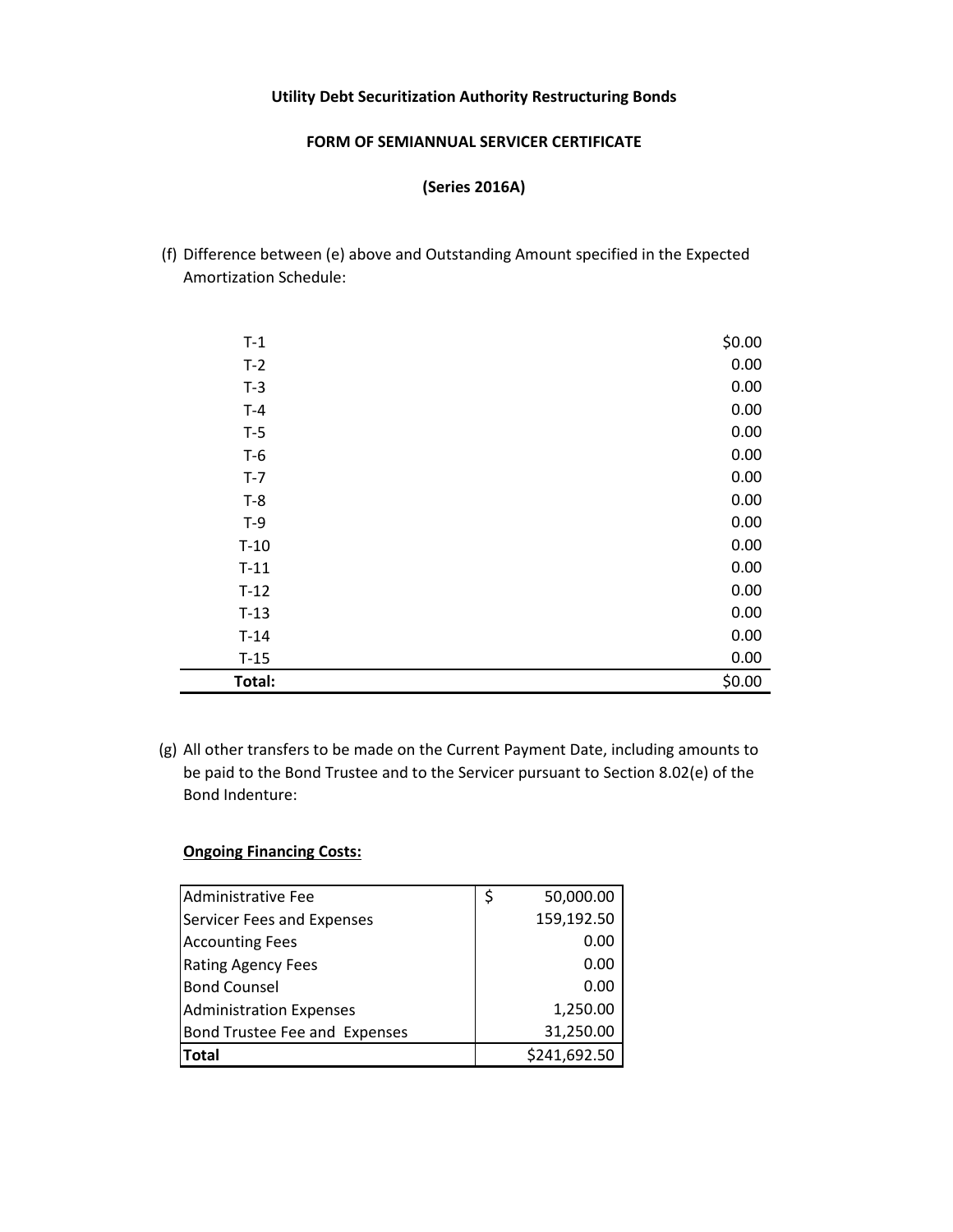#### **FORM OF SEMIANNUAL SERVICER CERTIFICATE**

# **(Series 2016A)**

(f) Difference between (e) above and Outstanding Amount specified in the Expected Amortization Schedule:

| $T-1$  | \$0.00 |
|--------|--------|
| $T-2$  | 0.00   |
| $T-3$  | 0.00   |
| $T-4$  | 0.00   |
| $T-5$  | 0.00   |
| $T-6$  | 0.00   |
| $T-7$  | 0.00   |
| $T-8$  | 0.00   |
| $T-9$  | 0.00   |
| $T-10$ | 0.00   |
| $T-11$ | 0.00   |
| $T-12$ | 0.00   |
| $T-13$ | 0.00   |
| $T-14$ | 0.00   |
| $T-15$ | 0.00   |
| Total: | \$0.00 |

(g) All other transfers to be made on the Current Payment Date, including amounts to be paid to the Bond Trustee and to the Servicer pursuant to Section 8.02(e) of the Bond Indenture:

# **Ongoing Financing Costs:**

| Administrative Fee             | \$<br>50,000.00 |
|--------------------------------|-----------------|
| Servicer Fees and Expenses     | 159,192.50      |
| <b>Accounting Fees</b>         | 0.00            |
| <b>Rating Agency Fees</b>      | 0.00            |
| <b>Bond Counsel</b>            | 0.00            |
| <b>Administration Expenses</b> | 1,250.00        |
| Bond Trustee Fee and Expenses  | 31,250.00       |
| Total                          | \$241,692.50    |